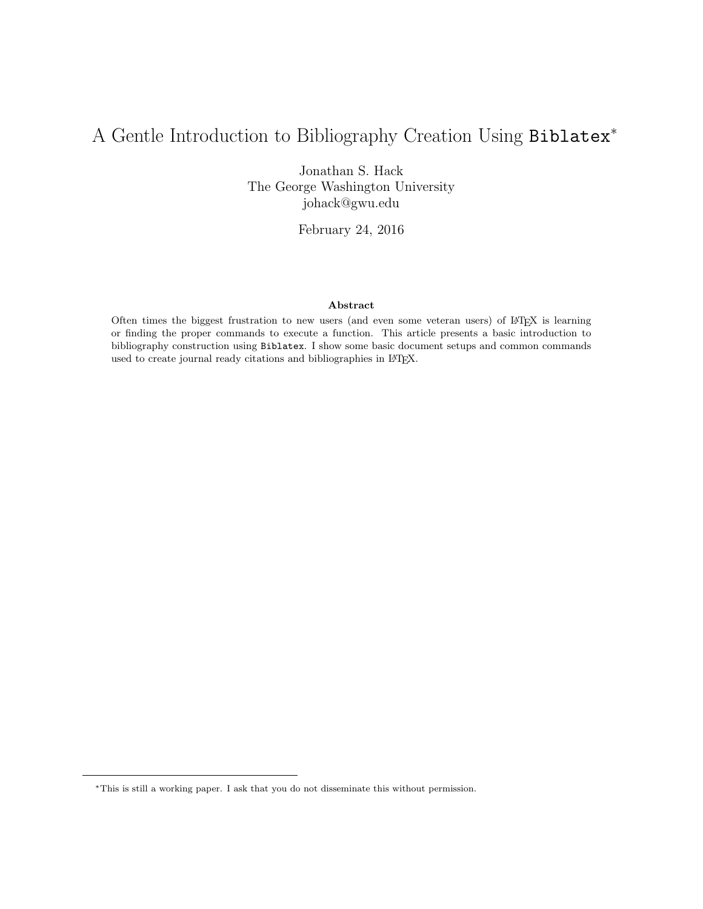# A Gentle Introduction to Bibliography Creation Using Biblatex<sup>∗</sup>

Jonathan S. Hack The George Washington University johack@gwu.edu

February 24, 2016

### Abstract

Often times the biggest frustration to new users (and even some veteran users) of LATEX is learning or finding the proper commands to execute a function. This article presents a basic introduction to bibliography construction using Biblatex. I show some basic document setups and common commands used to create journal ready citations and bibliographies in L<sup>AT</sup>EX.

<sup>∗</sup>This is still a working paper. I ask that you do not disseminate this without permission.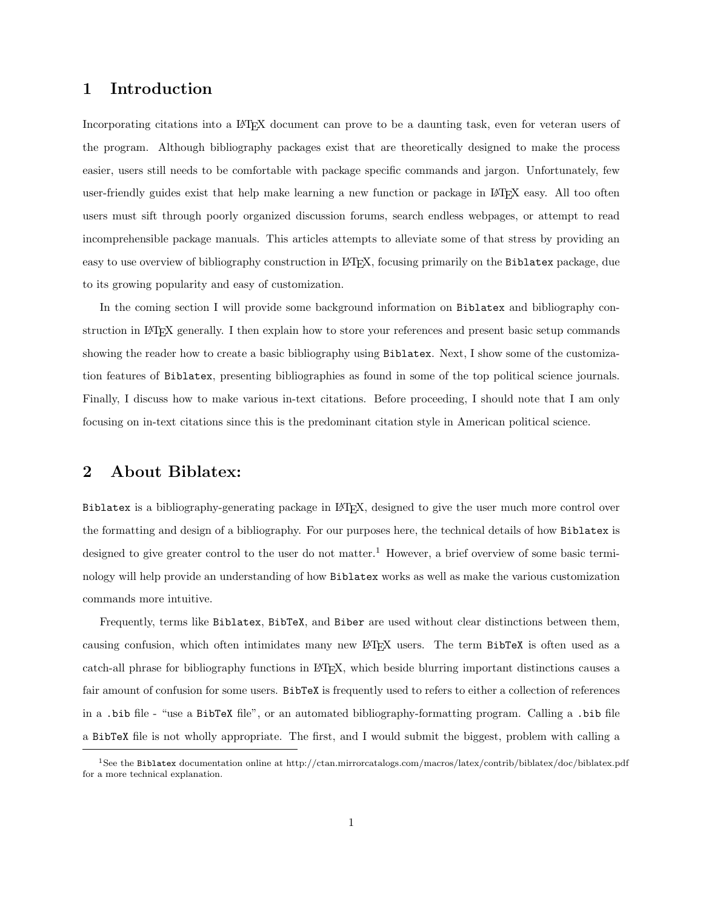## 1 Introduction

Incorporating citations into a LATEX document can prove to be a daunting task, even for veteran users of the program. Although bibliography packages exist that are theoretically designed to make the process easier, users still needs to be comfortable with package specific commands and jargon. Unfortunately, few user-friendly guides exist that help make learning a new function or package in LAT<sub>EX</sub> easy. All too often users must sift through poorly organized discussion forums, search endless webpages, or attempt to read incomprehensible package manuals. This articles attempts to alleviate some of that stress by providing an easy to use overview of bibliography construction in LATEX, focusing primarily on the Biblatex package, due to its growing popularity and easy of customization.

In the coming section I will provide some background information on Biblatex and bibliography construction in LATEX generally. I then explain how to store your references and present basic setup commands showing the reader how to create a basic bibliography using Biblatex. Next, I show some of the customization features of Biblatex, presenting bibliographies as found in some of the top political science journals. Finally, I discuss how to make various in-text citations. Before proceeding, I should note that I am only focusing on in-text citations since this is the predominant citation style in American political science.

### 2 About Biblatex:

Biblatex is a bibliography-generating package in LATEX, designed to give the user much more control over the formatting and design of a bibliography. For our purposes here, the technical details of how Biblatex is designed to give greater control to the user do not matter.<sup>1</sup> However, a brief overview of some basic terminology will help provide an understanding of how Biblatex works as well as make the various customization commands more intuitive.

Frequently, terms like Biblatex, BibTeX, and Biber are used without clear distinctions between them, causing confusion, which often intimidates many new LAT<sub>EX</sub> users. The term BibTeX is often used as a catch-all phrase for bibliography functions in LATEX, which beside blurring important distinctions causes a fair amount of confusion for some users. BibTeX is frequently used to refers to either a collection of references in a .bib file - "use a BibTeX file", or an automated bibliography-formatting program. Calling a .bib file a BibTeX file is not wholly appropriate. The first, and I would submit the biggest, problem with calling a

<sup>1</sup>See the Biblatex documentation online at http://ctan.mirrorcatalogs.com/macros/latex/contrib/biblatex/doc/biblatex.pdf for a more technical explanation.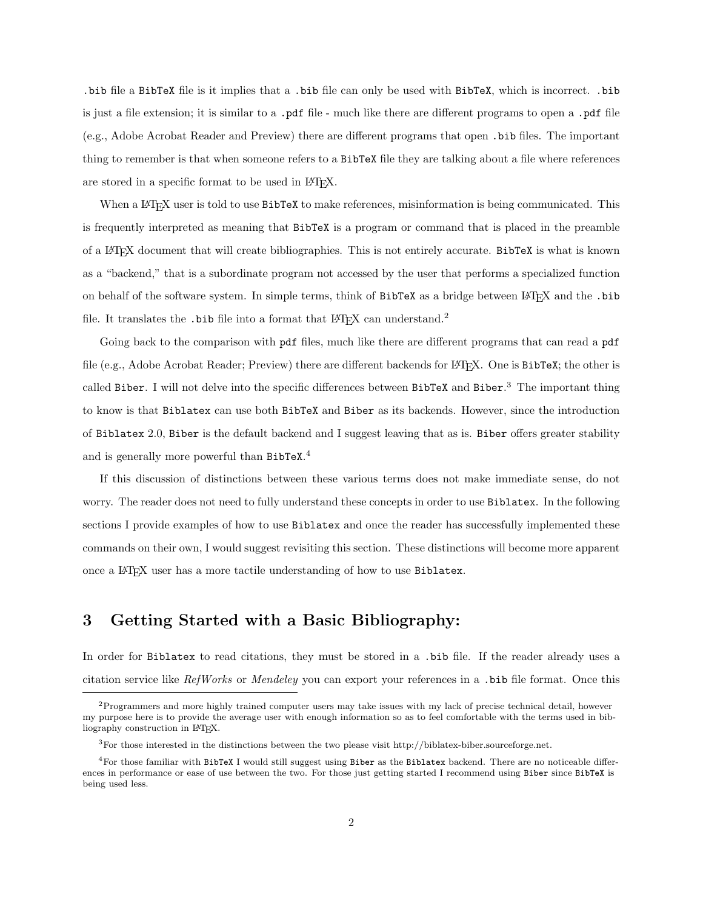.bib file a BibTeX file is it implies that a .bib file can only be used with BibTeX, which is incorrect. .bib is just a file extension; it is similar to a .pdf file - much like there are different programs to open a .pdf file (e.g., Adobe Acrobat Reader and Preview) there are different programs that open .bib files. The important thing to remember is that when someone refers to a BibTeX file they are talking about a file where references are stored in a specific format to be used in IAT<sub>E</sub>X.

When a LAT<sub>EX</sub> user is told to use BibTeX to make references, misinformation is being communicated. This is frequently interpreted as meaning that BibTeX is a program or command that is placed in the preamble of a LATEX document that will create bibliographies. This is not entirely accurate. BibTeX is what is known as a "backend," that is a subordinate program not accessed by the user that performs a specialized function on behalf of the software system. In simple terms, think of BibTeX as a bridge between LATEX and the .bib file. It translates the .bib file into a format that  $\mathbb{F}$ F<sub>F</sub>X can understand.<sup>2</sup>

Going back to the comparison with pdf files, much like there are different programs that can read a pdf file (e.g., Adobe Acrobat Reader; Preview) there are different backends for LAT<sub>E</sub>X. One is BibTeX; the other is called Biber. I will not delve into the specific differences between BibTeX and Biber. <sup>3</sup> The important thing to know is that Biblatex can use both BibTeX and Biber as its backends. However, since the introduction of Biblatex 2.0, Biber is the default backend and I suggest leaving that as is. Biber offers greater stability and is generally more powerful than BibTeX. 4

If this discussion of distinctions between these various terms does not make immediate sense, do not worry. The reader does not need to fully understand these concepts in order to use Biblatex. In the following sections I provide examples of how to use Biblatex and once the reader has successfully implemented these commands on their own, I would suggest revisiting this section. These distinctions will become more apparent once a L<sup>A</sup>T<sub>E</sub>X user has a more tactile understanding of how to use Biblatex.

# 3 Getting Started with a Basic Bibliography:

In order for Biblatex to read citations, they must be stored in a .bib file. If the reader already uses a citation service like RefWorks or Mendeley you can export your references in a .bib file format. Once this

<sup>2</sup>Programmers and more highly trained computer users may take issues with my lack of precise technical detail, however my purpose here is to provide the average user with enough information so as to feel comfortable with the terms used in bibliography construction in LAT<sub>E</sub>X.

<sup>3</sup>For those interested in the distinctions between the two please visit http://biblatex-biber.sourceforge.net.

<sup>4</sup>For those familiar with BibTeX I would still suggest using Biber as the Biblatex backend. There are no noticeable differences in performance or ease of use between the two. For those just getting started I recommend using Biber since BibTeX is being used less.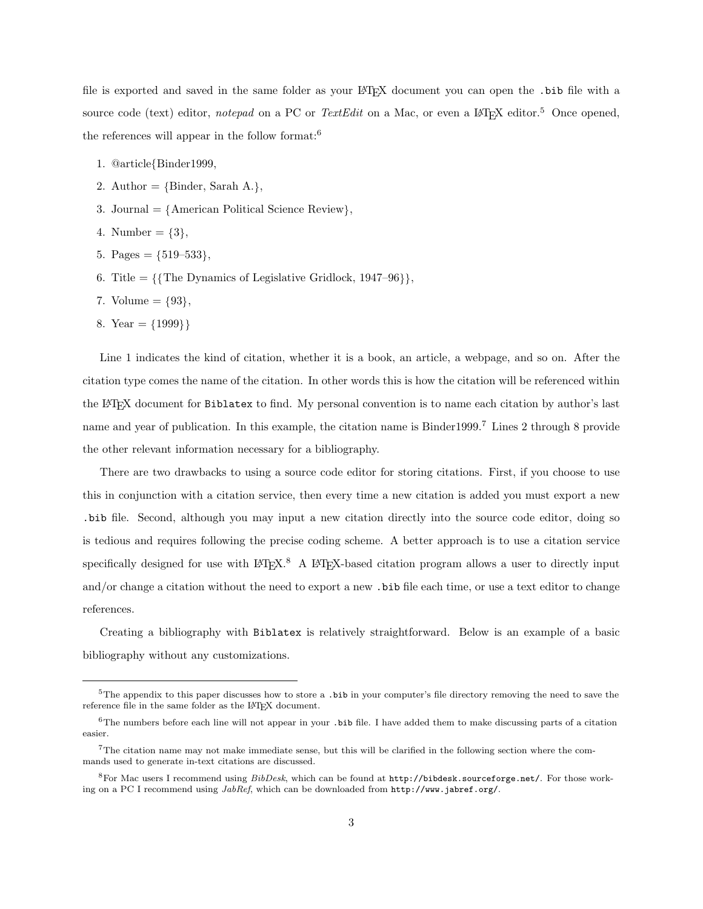file is exported and saved in the same folder as your LAT<sub>EX</sub> document you can open the .bib file with a source code (text) editor, notepad on a PC or TextEdit on a Mac, or even a LATEX editor.<sup>5</sup> Once opened, the references will appear in the follow format:  $6$ 

- 1. @article Binder1999,
- 2. Author =  $\{\text{Binder, Sarah A.}\},\$
- 3. Journal  $= \{$ American Political Science Review $\},$
- 4. Number =  $\{3\},\$
- 5. Pages  $= \{519-533\},\,$
- 6. Title =  $\{\{\text{The Dynamics of Legislative Gridlock}, 1947-96\}\},\$
- 7. Volume  $= \{93\},\$
- 8. Year  $= \{1999\}$

Line 1 indicates the kind of citation, whether it is a book, an article, a webpage, and so on. After the citation type comes the name of the citation. In other words this is how the citation will be referenced within the LATEX document for Biblatex to find. My personal convention is to name each citation by author's last name and year of publication. In this example, the citation name is Binder1999.<sup>7</sup> Lines 2 through 8 provide the other relevant information necessary for a bibliography.

There are two drawbacks to using a source code editor for storing citations. First, if you choose to use this in conjunction with a citation service, then every time a new citation is added you must export a new .bib file. Second, although you may input a new citation directly into the source code editor, doing so is tedious and requires following the precise coding scheme. A better approach is to use a citation service specifically designed for use with  $L^2T_FX$ .<sup>8</sup> A LAT<sub>F</sub>X-based citation program allows a user to directly input and/or change a citation without the need to export a new .bib file each time, or use a text editor to change references.

Creating a bibliography with Biblatex is relatively straightforward. Below is an example of a basic bibliography without any customizations.

 $5$ The appendix to this paper discusses how to store a .bib in your computer's file directory removing the need to save the reference file in the same folder as the LAT<sub>E</sub>X document.

 $6$ The numbers before each line will not appear in your .bib file. I have added them to make discussing parts of a citation easier.

<sup>7</sup>The citation name may not make immediate sense, but this will be clarified in the following section where the commands used to generate in-text citations are discussed.

<sup>&</sup>lt;sup>8</sup>For Mac users I recommend using  $BibDesk$ , which can be found at  $http://bibdest.sourceforge.net/$ . For those working on a PC I recommend using JabRef, which can be downloaded from http://www.jabref.org/.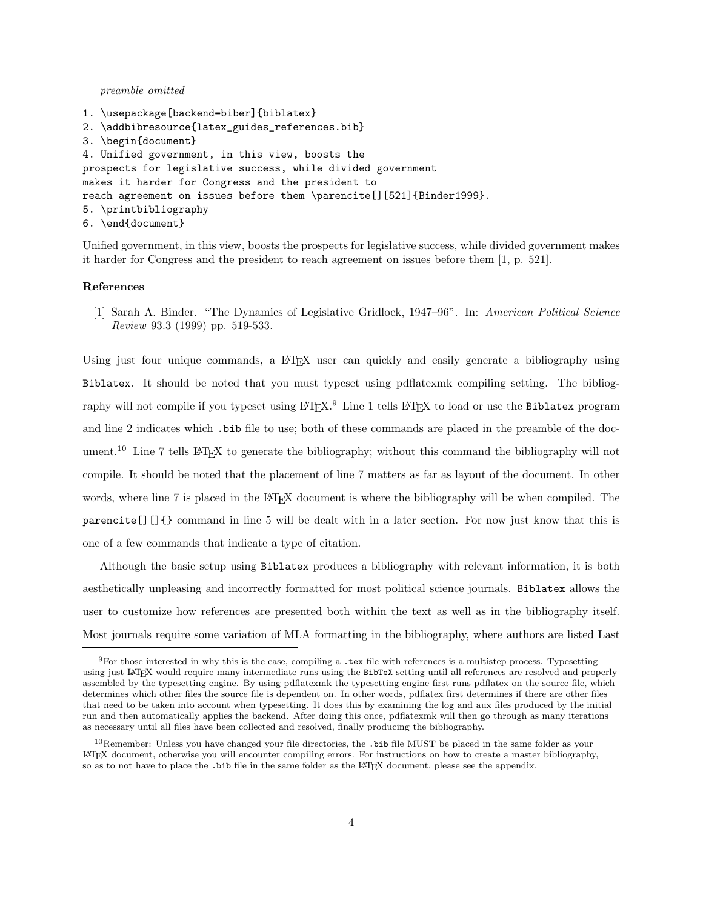preamble omitted

```
1. \usepackage[backend=biber]{biblatex}
2. \addbibresource{latex_guides_references.bib}
3. \begin{document}
4. Unified government, in this view, boosts the
prospects for legislative success, while divided government
makes it harder for Congress and the president to
reach agreement on issues before them \parencite[][521]{Binder1999}.
5. \printbibliography
6. \end{document}
```
Unified government, in this view, boosts the prospects for legislative success, while divided government makes it harder for Congress and the president to reach agreement on issues before them [1, p. 521].

#### References

[1] Sarah A. Binder. "The Dynamics of Legislative Gridlock, 1947–96". In: American Political Science Review 93.3 (1999) pp. 519-533.

Using just four unique commands, a L<sup>A</sup>T<sub>E</sub>X user can quickly and easily generate a bibliography using Biblatex. It should be noted that you must typeset using pdflatexmk compiling setting. The bibliography will not compile if you typeset using  $L^2\llbracket x \rrbracket^9$ . Line 1 tells  $L^2\llbracket x \rrbracket^8$  to load or use the Biblatex program and line 2 indicates which .bib file to use; both of these commands are placed in the preamble of the document.<sup>10</sup> Line 7 tells LAT<sub>EX</sub> to generate the bibliography; without this command the bibliography will not compile. It should be noted that the placement of line 7 matters as far as layout of the document. In other words, where line 7 is placed in the LAT<sub>EX</sub> document is where the bibliography will be when compiled. The parencite[][]{} command in line 5 will be dealt with in a later section. For now just know that this is one of a few commands that indicate a type of citation.

Although the basic setup using Biblatex produces a bibliography with relevant information, it is both aesthetically unpleasing and incorrectly formatted for most political science journals. Biblatex allows the user to customize how references are presented both within the text as well as in the bibliography itself. Most journals require some variation of MLA formatting in the bibliography, where authors are listed Last

 $9F$  For those interested in why this is the case, compiling a .tex file with references is a multistep process. Typesetting using just LATEX would require many intermediate runs using the BibTeX setting until all references are resolved and properly assembled by the typesetting engine. By using pdflatexmk the typesetting engine first runs pdflatex on the source file, which determines which other files the source file is dependent on. In other words, pdflatex first determines if there are other files that need to be taken into account when typesetting. It does this by examining the log and aux files produced by the initial run and then automatically applies the backend. After doing this once, pdflatexmk will then go through as many iterations as necessary until all files have been collected and resolved, finally producing the bibliography.

<sup>10</sup>Remember: Unless you have changed your file directories, the .bib file MUST be placed in the same folder as your LATEX document, otherwise you will encounter compiling errors. For instructions on how to create a master bibliography, so as to not have to place the .bib file in the same folder as the LAT<sub>EX</sub> document, please see the appendix.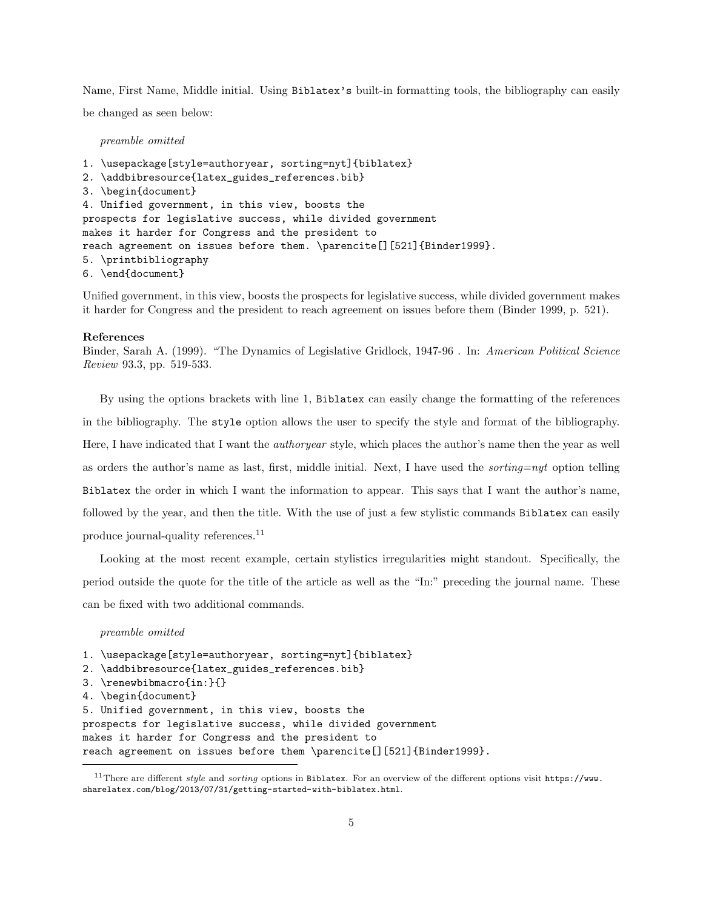Name, First Name, Middle initial. Using Biblatex's built-in formatting tools, the bibliography can easily be changed as seen below:

preamble omitted

```
1. \usepackage[style=authoryear, sorting=nyt]{biblatex}
2. \addbibresource{latex_guides_references.bib}
3. \begin{document}
4. Unified government, in this view, boosts the
prospects for legislative success, while divided government
makes it harder for Congress and the president to
reach agreement on issues before them. \parencite[][521]{Binder1999}.
5. \printbibliography
6. \end{document}
```
Unified government, in this view, boosts the prospects for legislative success, while divided government makes it harder for Congress and the president to reach agreement on issues before them (Binder 1999, p. 521).

#### References

Binder, Sarah A. (1999). "The Dynamics of Legislative Gridlock, 1947-96 . In: American Political Science Review 93.3, pp. 519-533.

By using the options brackets with line 1, Biblatex can easily change the formatting of the references in the bibliography. The style option allows the user to specify the style and format of the bibliography. Here, I have indicated that I want the authoryear style, which places the author's name then the year as well as orders the author's name as last, first, middle initial. Next, I have used the *sorting=nyt* option telling Biblatex the order in which I want the information to appear. This says that I want the author's name, followed by the year, and then the title. With the use of just a few stylistic commands Biblatex can easily produce journal-quality references.<sup>11</sup>

Looking at the most recent example, certain stylistics irregularities might standout. Specifically, the period outside the quote for the title of the article as well as the "In:" preceding the journal name. These can be fixed with two additional commands.

preamble omitted

```
1. \usepackage[style=authoryear, sorting=nyt]{biblatex}
2. \addbibresource{latex_guides_references.bib}
3. \renewbibmacro{in:}{}
4. \begin{document}
5. Unified government, in this view, boosts the
prospects for legislative success, while divided government
makes it harder for Congress and the president to
reach agreement on issues before them \parencite[][521]{Binder1999}.
```
<sup>&</sup>lt;sup>11</sup>There are different *style* and *sorting* options in Biblatex. For an overview of the different options visit https://www. sharelatex.com/blog/2013/07/31/getting-started-with-biblatex.html.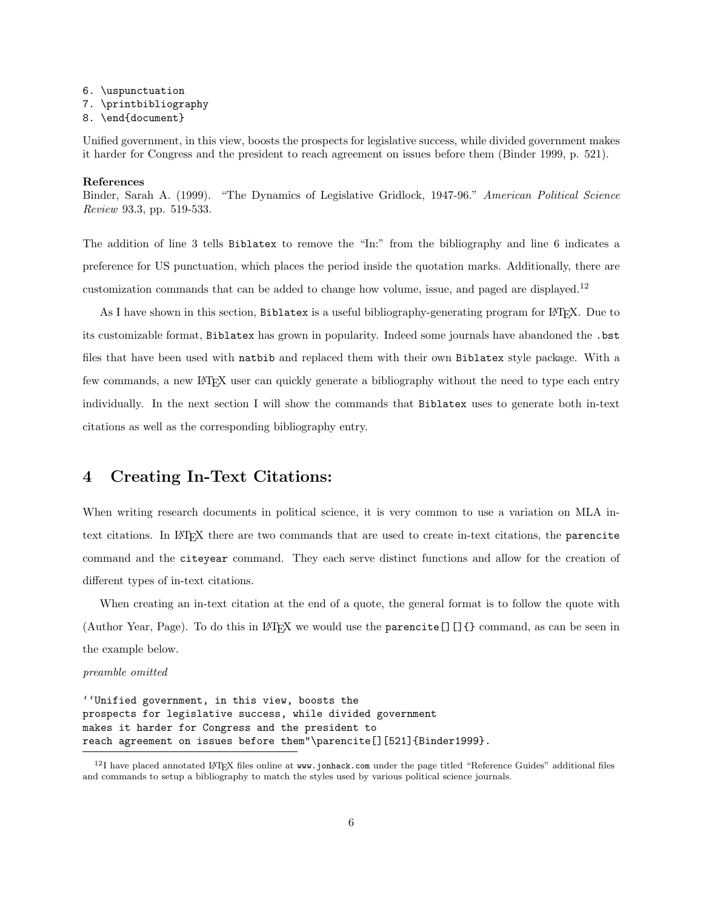#### 6. \uspunctuation

7. \printbibliography

#### 8. \end{document}

Unified government, in this view, boosts the prospects for legislative success, while divided government makes it harder for Congress and the president to reach agreement on issues before them (Binder 1999, p. 521).

### References

Binder, Sarah A. (1999). "The Dynamics of Legislative Gridlock, 1947-96." American Political Science Review 93.3, pp. 519-533.

The addition of line 3 tells Biblatex to remove the "In:" from the bibliography and line 6 indicates a preference for US punctuation, which places the period inside the quotation marks. Additionally, there are customization commands that can be added to change how volume, issue, and paged are displayed.<sup>12</sup>

As I have shown in this section, Biblatex is a useful bibliography-generating program for LATEX. Due to its customizable format, Biblatex has grown in popularity. Indeed some journals have abandoned the .bst files that have been used with natbib and replaced them with their own Biblatex style package. With a few commands, a new LAT<sub>EX</sub> user can quickly generate a bibliography without the need to type each entry individually. In the next section I will show the commands that Biblatex uses to generate both in-text citations as well as the corresponding bibliography entry.

### 4 Creating In-Text Citations:

When writing research documents in political science, it is very common to use a variation on MLA intext citations. In LATEX there are two commands that are used to create in-text citations, the parencite command and the citeyear command. They each serve distinct functions and allow for the creation of different types of in-text citations.

When creating an in-text citation at the end of a quote, the general format is to follow the quote with (Author Year, Page). To do this in LATEX we would use the parencite [] []  $\{\}$  command, as can be seen in the example below.

#### preamble omitted

''Unified government, in this view, boosts the prospects for legislative success, while divided government makes it harder for Congress and the president to reach agreement on issues before them"\parencite[][521]{Binder1999}.

 $12$ I have placed annotated LAT<sub>E</sub>X files online at www.jonhack.com under the page titled "Reference Guides" additional files and commands to setup a bibliography to match the styles used by various political science journals.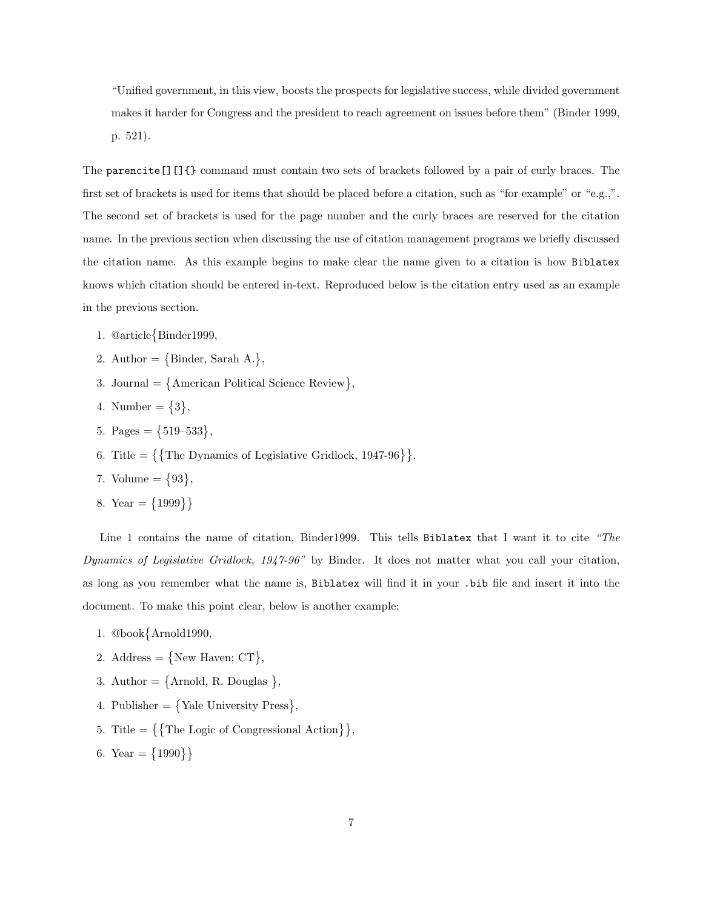"Unified government, in this view, boosts the prospects for legislative success, while divided government makes it harder for Congress and the president to reach agreement on issues before them" (Binder 1999, p. 521).

The parencite[][]{} command must contain two sets of brackets followed by a pair of curly braces. The first set of brackets is used for items that should be placed before a citation, such as "for example" or "e.g.,". The second set of brackets is used for the page number and the curly braces are reserved for the citation name. In the previous section when discussing the use of citation management programs we briefly discussed the citation name. As this example begins to make clear the name given to a citation is how Biblatex knows which citation should be entered in-text. Reproduced below is the citation entry used as an example in the previous section.

- 1. @article Binder1999,
- 2. Author =  $\{\text{Binder, Sarah A.}\},\$
- 3. Journal =  $\{$ American Political Science Review $\},$
- 4. Number =  $\{3\},\$
- 5. Pages =  $\{519-533\}$ ,
- 6. Title =  $\{\{\text{The Dynamics of Legislative Gridlock}, 1947-96\}\},\$
- 7. Volume  $= \{93\},\$
- 8. Year =  ${1999}$

Line 1 contains the name of citation, Binder1999. This tells Biblatex that I want it to cite "The Dynamics of Legislative Gridlock, 1947-96" by Binder. It does not matter what you call your citation, as long as you remember what the name is, Biblatex will find it in your .bib file and insert it into the document. To make this point clear, below is another example:

- 1. @book Arnold1990,
- 2. Address =  $\{New Haven; CT\},\$
- 3. Author =  $\{Arnold, R. Douglas \}$ ,
- 4. Publisher  $= \{$  Yale University Press $\},$
- 5. Title =  $\{\{\text{The Logic of Congressional Action}\}\},\$
- 6. Year =  $\{1990\}$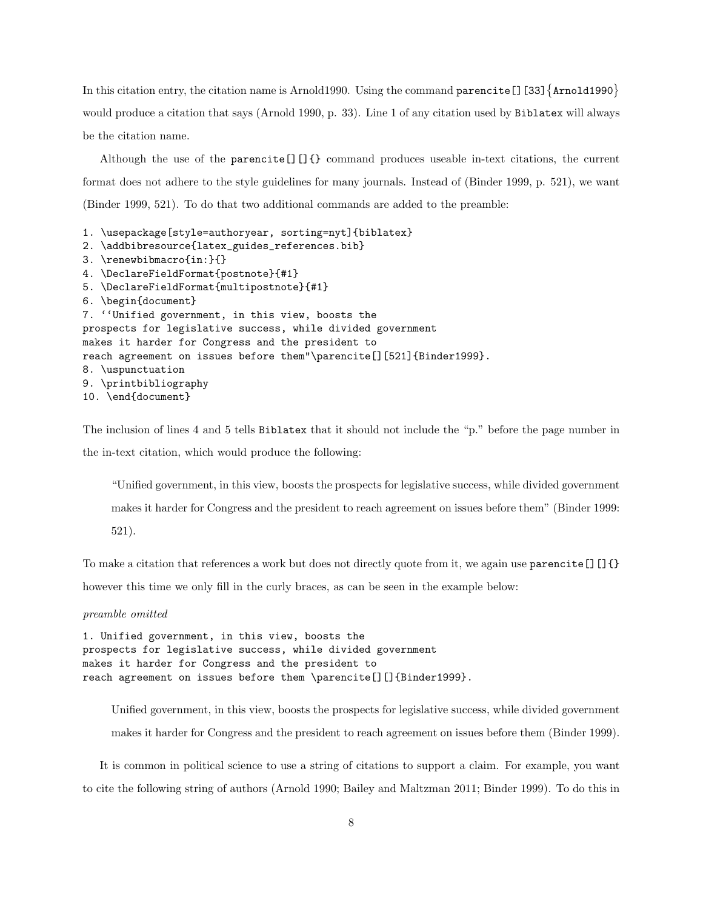In this citation entry, the citation name is Arnold1990. Using the command  $\texttt{parent}$  [] [33]  $\{ \texttt{Arnold1990} \}$ would produce a citation that says (Arnold 1990, p. 33). Line 1 of any citation used by Biblatex will always be the citation name.

Although the use of the parencite  $[]$   $[]$  {} command produces useable in-text citations, the current format does not adhere to the style guidelines for many journals. Instead of (Binder 1999, p. 521), we want (Binder 1999, 521). To do that two additional commands are added to the preamble:

```
1. \usepackage[style=authoryear, sorting=nyt]{biblatex}
2. \addbibresource{latex_guides_references.bib}
3. \renewbibmacro{in:}{}
4. \DeclareFieldFormat{postnote}{#1}
5. \DeclareFieldFormat{multipostnote}{#1}
6. \begin{document}
7. ''Unified government, in this view, boosts the
prospects for legislative success, while divided government
makes it harder for Congress and the president to
reach agreement on issues before them"\parencite[][521]{Binder1999}.
8. \uspunctuation
9. \printbibliography
10. \end{document}
```
The inclusion of lines 4 and 5 tells Biblatex that it should not include the "p." before the page number in the in-text citation, which would produce the following:

"Unified government, in this view, boosts the prospects for legislative success, while divided government makes it harder for Congress and the president to reach agreement on issues before them" (Binder 1999: 521).

To make a citation that references a work but does not directly quote from it, we again use parencite  $[$  []{} however this time we only fill in the curly braces, as can be seen in the example below:

#### preamble omitted

```
1. Unified government, in this view, boosts the
prospects for legislative success, while divided government
makes it harder for Congress and the president to
reach agreement on issues before them \parencite[][]{Binder1999}.
```
Unified government, in this view, boosts the prospects for legislative success, while divided government makes it harder for Congress and the president to reach agreement on issues before them (Binder 1999).

It is common in political science to use a string of citations to support a claim. For example, you want to cite the following string of authors (Arnold 1990; Bailey and Maltzman 2011; Binder 1999). To do this in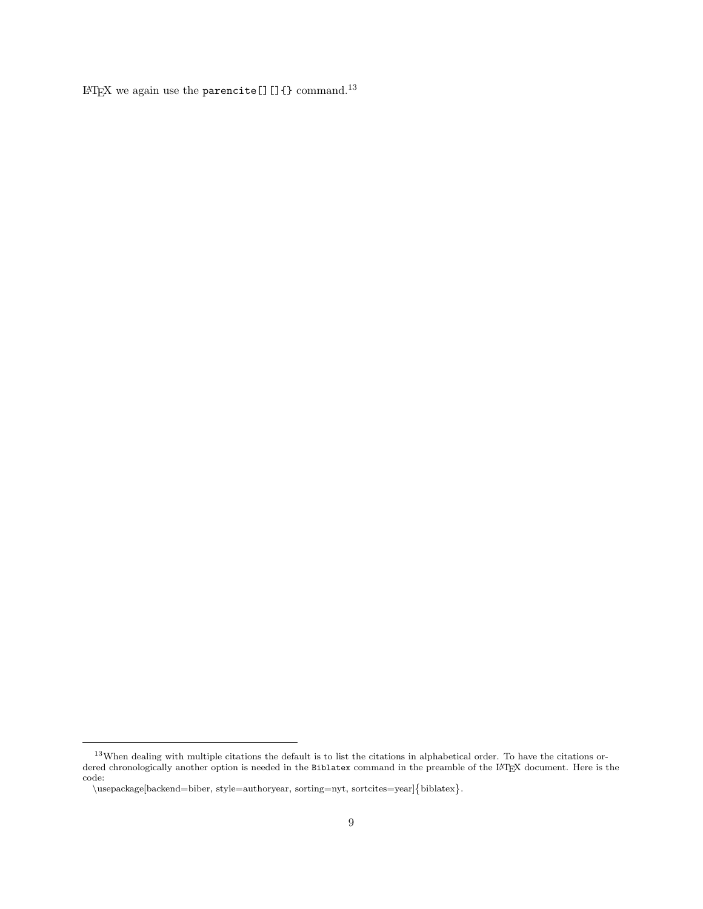LATEX we again use the parencite []  $[]$  {} command.<sup>13</sup>

<sup>13</sup>When dealing with multiple citations the default is to list the citations in alphabetical order. To have the citations ordered chronologically another option is needed in the Biblatex command in the preamble of the LATEX document. Here is the code:

<sup>\</sup>usepackage[backend=biber, style=authoryear, sorting=nyt, sortcites=year]{biblatex}.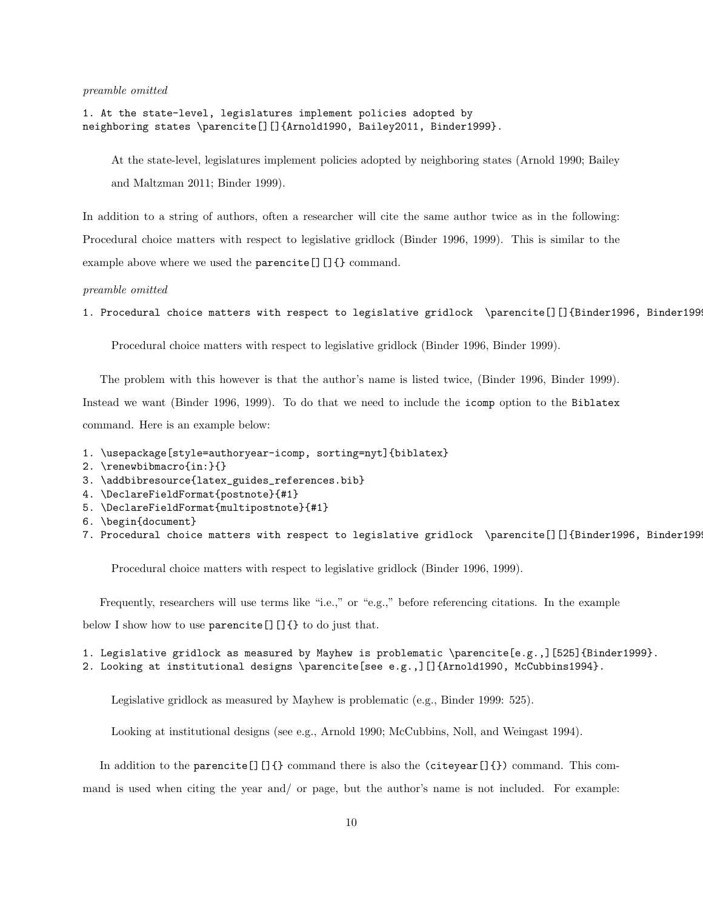preamble omitted

1. At the state-level, legislatures implement policies adopted by neighboring states \parencite[][]{Arnold1990, Bailey2011, Binder1999}.

At the state-level, legislatures implement policies adopted by neighboring states (Arnold 1990; Bailey and Maltzman 2011; Binder 1999).

In addition to a string of authors, often a researcher will cite the same author twice as in the following: Procedural choice matters with respect to legislative gridlock (Binder 1996, 1999). This is similar to the example above where we used the **parencite** [][]{} command.

preamble omitted

1. Procedural choice matters with respect to legislative gridlock \parencite[][]{Binder1996, Binder1999}.

Procedural choice matters with respect to legislative gridlock (Binder 1996, Binder 1999).

The problem with this however is that the author's name is listed twice, (Binder 1996, Binder 1999).

Instead we want (Binder 1996, 1999). To do that we need to include the icomp option to the Biblatex command. Here is an example below:

1. \usepackage[style=authoryear-icomp, sorting=nyt]{biblatex}

- 2. \renewbibmacro{in:}{}
- 3. \addbibresource{latex\_guides\_references.bib}
- 4. \DeclareFieldFormat{postnote}{#1}
- 5. \DeclareFieldFormat{multipostnote}{#1}
- 6. \begin{document}
- 7. Procedural choice matters with respect to legislative gridlock \parencite[][]{Binder1996, Binder1999}.

Procedural choice matters with respect to legislative gridlock (Binder 1996, 1999).

Frequently, researchers will use terms like "i.e.," or "e.g.," before referencing citations. In the example

below I show how to use parencite []  $[]$  {} to do just that.

1. Legislative gridlock as measured by Mayhew is problematic \parencite[e.g.,][525]{Binder1999}. 2. Looking at institutional designs \parencite[see e.g.,][]{Arnold1990, McCubbins1994}.

Legislative gridlock as measured by Mayhew is problematic (e.g., Binder 1999: 525).

Looking at institutional designs (see e.g., Arnold 1990; McCubbins, Noll, and Weingast 1994).

In addition to the parencite  $[$ ][ $\}$ } command there is also the (citeyear[ $\}$ }) command. This com-

mand is used when citing the year and/ or page, but the author's name is not included. For example: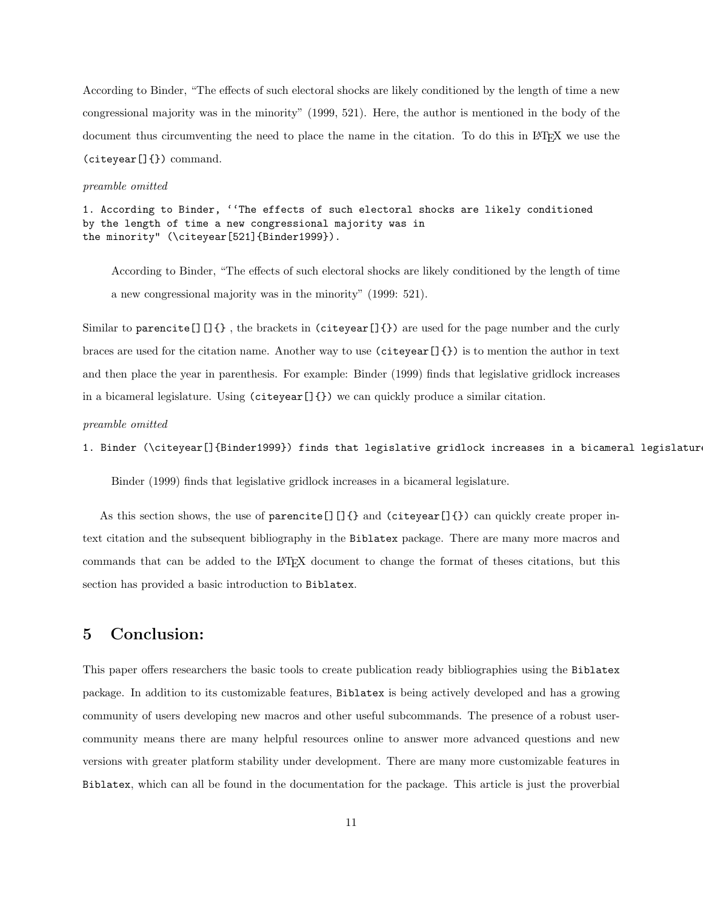According to Binder, "The effects of such electoral shocks are likely conditioned by the length of time a new congressional majority was in the minority" (1999, 521). Here, the author is mentioned in the body of the document thus circumventing the need to place the name in the citation. To do this in LAT<sub>EX</sub> we use the (citeyear[]{}) command.

#### preamble omitted

```
1. According to Binder, ''The effects of such electoral shocks are likely conditioned
by the length of time a new congressional majority was in
the minority" (\citeyear[521]{Binder1999}).
```
According to Binder, "The effects of such electoral shocks are likely conditioned by the length of time a new congressional majority was in the minority" (1999: 521).

Similar to parencite [][ $\}$ , the brackets in (citeyear[ $\}$ }) are used for the page number and the curly braces are used for the citation name. Another way to use (citeyear[]{}) is to mention the author in text and then place the year in parenthesis. For example: Binder (1999) finds that legislative gridlock increases in a bicameral legislature. Using (citeyear[]{}) we can quickly produce a similar citation.

```
preamble omitted
```
1. Binder (\citeyear[]{Binder1999}) finds that legislative gridlock increases in a bicameral legislatur

Binder (1999) finds that legislative gridlock increases in a bicameral legislature.

As this section shows, the use of parencite [][]{} and (citeyear[]{}) can quickly create proper intext citation and the subsequent bibliography in the Biblatex package. There are many more macros and commands that can be added to the LATEX document to change the format of theses citations, but this section has provided a basic introduction to Biblatex.

### 5 Conclusion:

This paper offers researchers the basic tools to create publication ready bibliographies using the Biblatex package. In addition to its customizable features, Biblatex is being actively developed and has a growing community of users developing new macros and other useful subcommands. The presence of a robust usercommunity means there are many helpful resources online to answer more advanced questions and new versions with greater platform stability under development. There are many more customizable features in Biblatex, which can all be found in the documentation for the package. This article is just the proverbial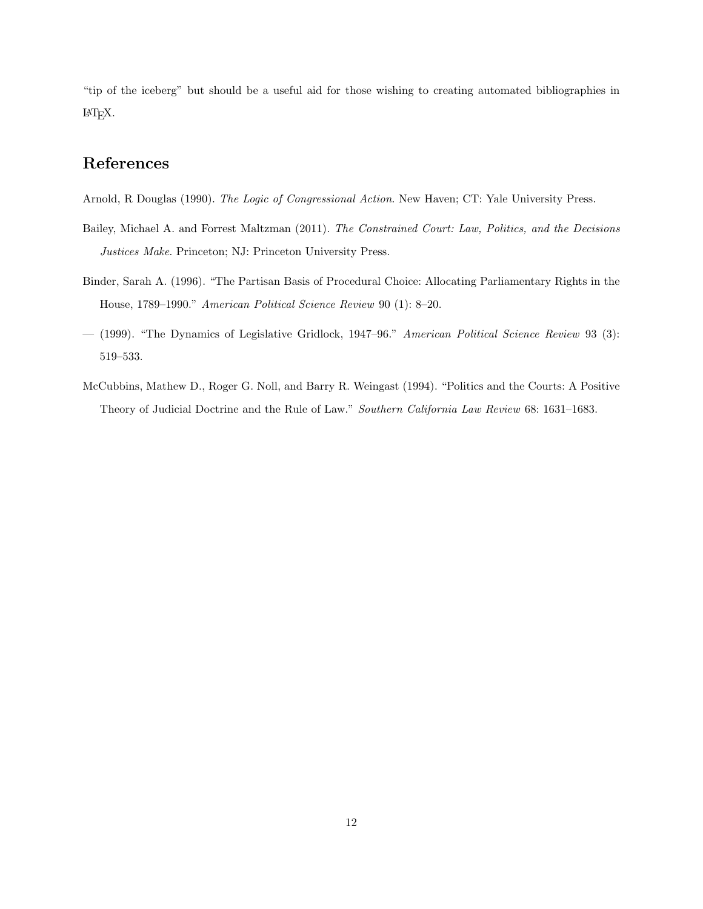"tip of the iceberg" but should be a useful aid for those wishing to creating automated bibliographies in LATEX.

# References

Arnold, R Douglas (1990). The Logic of Congressional Action. New Haven; CT: Yale University Press.

- Bailey, Michael A. and Forrest Maltzman (2011). The Constrained Court: Law, Politics, and the Decisions Justices Make. Princeton; NJ: Princeton University Press.
- Binder, Sarah A. (1996). "The Partisan Basis of Procedural Choice: Allocating Parliamentary Rights in the House, 1789–1990." American Political Science Review 90 (1): 8–20.
- (1999). "The Dynamics of Legislative Gridlock, 1947–96." American Political Science Review 93 (3): 519–533.
- McCubbins, Mathew D., Roger G. Noll, and Barry R. Weingast (1994). "Politics and the Courts: A Positive Theory of Judicial Doctrine and the Rule of Law." Southern California Law Review 68: 1631–1683.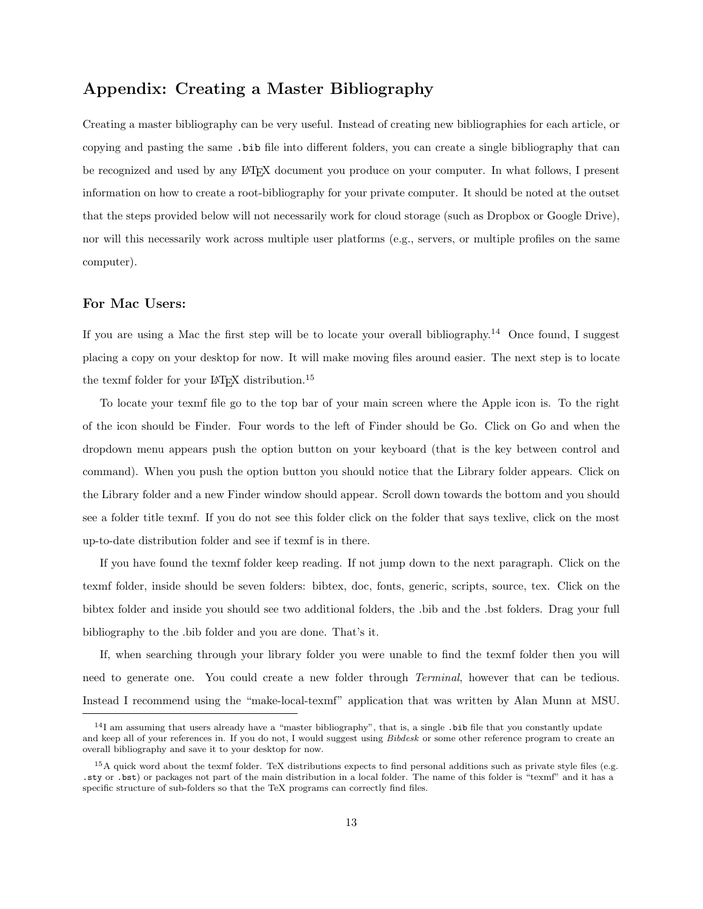# Appendix: Creating a Master Bibliography

Creating a master bibliography can be very useful. Instead of creating new bibliographies for each article, or copying and pasting the same .bib file into different folders, you can create a single bibliography that can be recognized and used by any LATEX document you produce on your computer. In what follows, I present information on how to create a root-bibliography for your private computer. It should be noted at the outset that the steps provided below will not necessarily work for cloud storage (such as Dropbox or Google Drive), nor will this necessarily work across multiple user platforms (e.g., servers, or multiple profiles on the same computer).

### For Mac Users:

If you are using a Mac the first step will be to locate your overall bibliography.<sup>14</sup> Once found, I suggest placing a copy on your desktop for now. It will make moving files around easier. The next step is to locate the texmf folder for your LAT<sub>EX</sub> distribution.<sup>15</sup>

To locate your texmf file go to the top bar of your main screen where the Apple icon is. To the right of the icon should be Finder. Four words to the left of Finder should be Go. Click on Go and when the dropdown menu appears push the option button on your keyboard (that is the key between control and command). When you push the option button you should notice that the Library folder appears. Click on the Library folder and a new Finder window should appear. Scroll down towards the bottom and you should see a folder title texmf. If you do not see this folder click on the folder that says texlive, click on the most up-to-date distribution folder and see if texmf is in there.

If you have found the texmf folder keep reading. If not jump down to the next paragraph. Click on the texmf folder, inside should be seven folders: bibtex, doc, fonts, generic, scripts, source, tex. Click on the bibtex folder and inside you should see two additional folders, the .bib and the .bst folders. Drag your full bibliography to the .bib folder and you are done. That's it.

If, when searching through your library folder you were unable to find the texmf folder then you will need to generate one. You could create a new folder through *Terminal*, however that can be tedious. Instead I recommend using the "make-local-texmf" application that was written by Alan Munn at MSU.

 $14$ I am assuming that users already have a "master bibliography", that is, a single . bib file that you constantly update and keep all of your references in. If you do not, I would suggest using Bibdesk or some other reference program to create an overall bibliography and save it to your desktop for now.

 $15A$  quick word about the texmf folder. TeX distributions expects to find personal additions such as private style files (e.g. .sty or .bst) or packages not part of the main distribution in a local folder. The name of this folder is "texmf" and it has a specific structure of sub-folders so that the TeX programs can correctly find files.